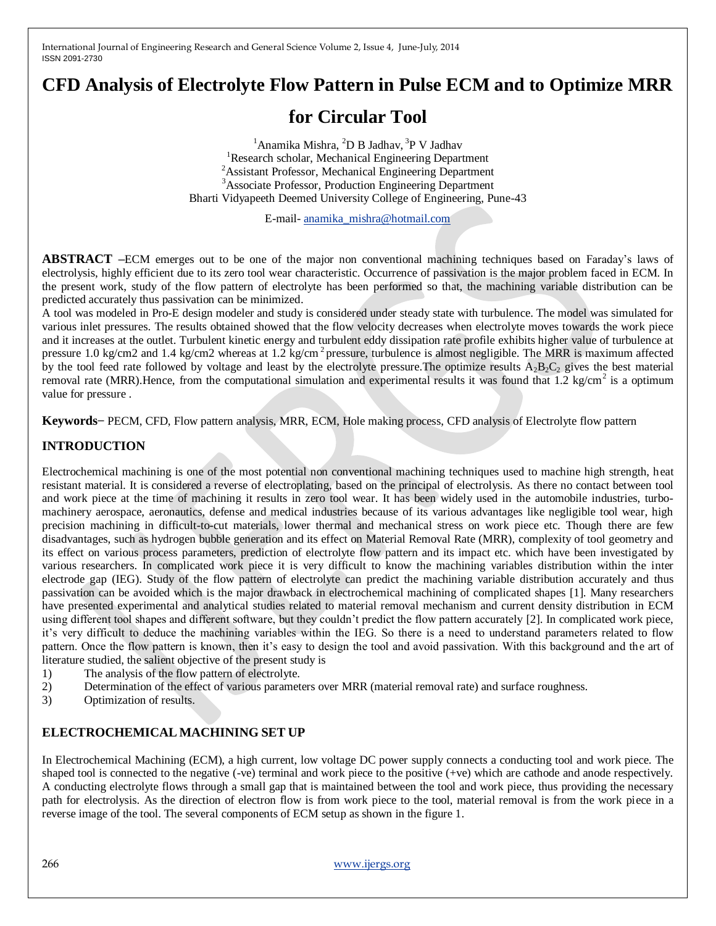# **CFD Analysis of Electrolyte Flow Pattern in Pulse ECM and to Optimize MRR**

# **for Circular Tool**

<sup>1</sup> Anamika Mishra, <sup>2</sup>D B Jadhav, <sup>3</sup>P V Jadhav <sup>1</sup>Research scholar, Mechanical Engineering Department <sup>2</sup> Assistant Professor, Mechanical Engineering Department <sup>3</sup>Associate Professor, Production Engineering Department Bharti Vidyapeeth Deemed University College of Engineering, Pune-43

E-mail- [anamika\\_mishra@hotmail.com](mailto:anamika_mishra@hotmail.com)

**ABSTRACT –**ECM emerges out to be one of the major non conventional machining techniques based on Faraday"s laws of electrolysis, highly efficient due to its zero tool wear characteristic. Occurrence of passivation is the major problem faced in ECM. In the present work, study of the flow pattern of electrolyte has been performed so that, the machining variable distribution can be predicted accurately thus passivation can be minimized.

A tool was modeled in Pro-E design modeler and study is considered under steady state with turbulence. The model was simulated for various inlet pressures. The results obtained showed that the flow velocity decreases when electrolyte moves towards the work piece and it increases at the outlet. Turbulent kinetic energy and turbulent eddy dissipation rate profile exhibits higher value of turbulence at pressure 1.0 kg/cm2 and 1.4 kg/cm2 whereas at 1.2 kg/cm<sup>2</sup> pressure, turbulence is almost negligible. The MRR is maximum affected by the tool feed rate followed by voltage and least by the electrolyte pressure. The optimize results  $A_2B_2C_2$  gives the best material removal rate (MRR). Hence, from the computational simulation and experimental results it was found that  $1.2 \text{ kg/cm}^2$  is a optimum value for pressure .

**Keywords−** PECM, CFD, Flow pattern analysis, MRR, ECM, Hole making process, CFD analysis of Electrolyte flow pattern

# **INTRODUCTION**

Electrochemical machining is one of the most potential non conventional machining techniques used to machine high strength, heat resistant material. It is considered a reverse of electroplating, based on the principal of electrolysis. As there no contact between tool and work piece at the time of machining it results in zero tool wear. It has been widely used in the automobile industries, turbomachinery aerospace, aeronautics, defense and medical industries because of its various advantages like negligible tool wear, high precision machining in difficult-to-cut materials, lower thermal and mechanical stress on work piece etc. Though there are few disadvantages, such as hydrogen bubble generation and its effect on Material Removal Rate (MRR), complexity of tool geometry and its effect on various process parameters, prediction of electrolyte flow pattern and its impact etc. which have been investigated by various researchers. In complicated work piece it is very difficult to know the machining variables distribution within the inter electrode gap (IEG). Study of the flow pattern of electrolyte can predict the machining variable distribution accurately and thus passivation can be avoided which is the major drawback in electrochemical machining of complicated shapes [1]. Many researchers have presented experimental and analytical studies related to material removal mechanism and current density distribution in ECM using different tool shapes and different software, but they couldn"t predict the flow pattern accurately [2]. In complicated work piece, it"s very difficult to deduce the machining variables within the IEG. So there is a need to understand parameters related to flow pattern. Once the flow pattern is known, then it's easy to design the tool and avoid passivation. With this background and the art of literature studied, the salient objective of the present study is

- 1) The analysis of the flow pattern of electrolyte.
- 2) Determination of the effect of various parameters over MRR (material removal rate) and surface roughness.
- 3) Optimization of results.

# **ELECTROCHEMICAL MACHINING SET UP**

In Electrochemical Machining (ECM), a high current, low voltage DC power supply connects a conducting tool and work piece. The shaped tool is connected to the negative (-ve) terminal and work piece to the positive (+ve) which are cathode and anode respectively. A conducting electrolyte flows through a small gap that is maintained between the tool and work piece, thus providing the necessary path for electrolysis. As the direction of electron flow is from work piece to the tool, material removal is from the work piece in a reverse image of the tool. The several components of ECM setup as shown in the figure 1.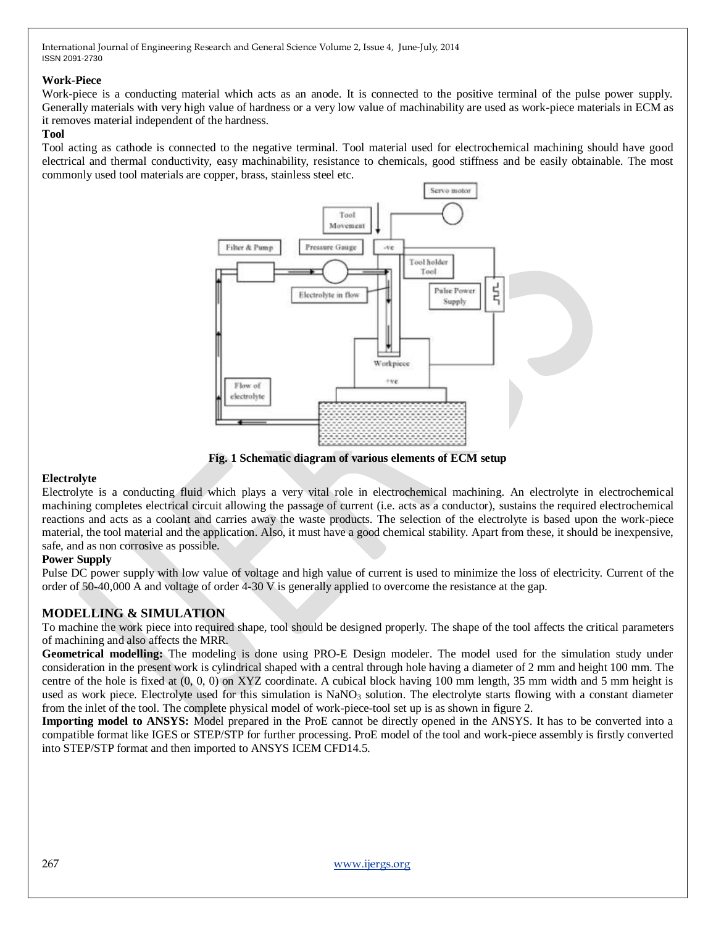### **Work-Piece**

Work-piece is a conducting material which acts as an anode. It is connected to the positive terminal of the pulse power supply. Generally materials with very high value of hardness or a very low value of machinability are used as work-piece materials in ECM as it removes material independent of the hardness.

### **Tool**

Tool acting as cathode is connected to the negative terminal. Tool material used for electrochemical machining should have good electrical and thermal conductivity, easy machinability, resistance to chemicals, good stiffness and be easily obtainable. The most commonly used tool materials are copper, brass, stainless steel etc.



**Fig. 1 Schematic diagram of various elements of ECM setup**

#### **Electrolyte**

Electrolyte is a conducting fluid which plays a very vital role in electrochemical machining. An electrolyte in electrochemical machining completes electrical circuit allowing the passage of current (i.e. acts as a conductor), sustains the required electrochemical reactions and acts as a coolant and carries away the waste products. The selection of the electrolyte is based upon the work-piece material, the tool material and the application. Also, it must have a good chemical stability. Apart from these, it should be inexpensive, safe, and as non corrosive as possible.

#### **Power Supply**

Pulse DC power supply with low value of voltage and high value of current is used to minimize the loss of electricity. Current of the order of 50-40,000 A and voltage of order 4-30 V is generally applied to overcome the resistance at the gap.

# **MODELLING & SIMULATION**

To machine the work piece into required shape, tool should be designed properly. The shape of the tool affects the critical parameters of machining and also affects the MRR.

**Geometrical modelling:** The modeling is done using PRO-E Design modeler. The model used for the simulation study under consideration in the present work is cylindrical shaped with a central through hole having a diameter of 2 mm and height 100 mm. The centre of the hole is fixed at (0, 0, 0) on XYZ coordinate. A cubical block having 100 mm length, 35 mm width and 5 mm height is used as work piece. Electrolyte used for this simulation is  $NaNO<sub>3</sub>$  solution. The electrolyte starts flowing with a constant diameter from the inlet of the tool. The complete physical model of work-piece-tool set up is as shown in figure 2.

**Importing model to ANSYS:** Model prepared in the ProE cannot be directly opened in the ANSYS. It has to be converted into a compatible format like IGES or STEP/STP for further processing. ProE model of the tool and work-piece assembly is firstly converted into STEP/STP format and then imported to ANSYS ICEM CFD14.5.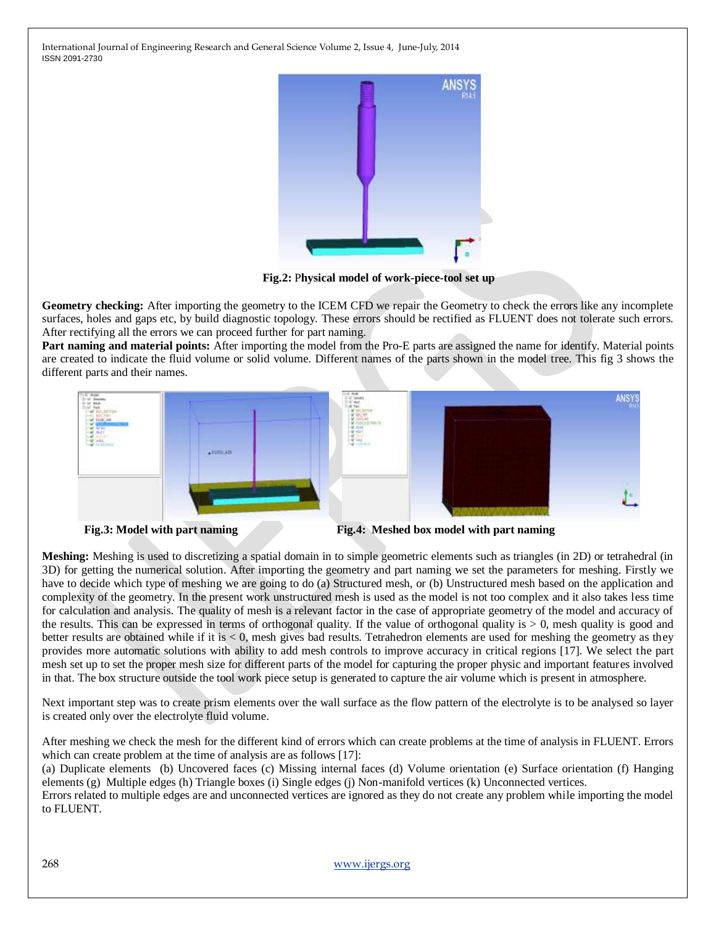

**Fig.2:** P**hysical model of work-piece-tool set up**

**Geometry checking:** After importing the geometry to the ICEM CFD we repair the Geometry to check the errors like any incomplete surfaces, holes and gaps etc, by build diagnostic topology. These errors should be rectified as FLUENT does not tolerate such errors. After rectifying all the errors we can proceed further for part naming.

**Part naming and material points:** After importing the model from the Pro-E parts are assigned the name for identify. Material points are created to indicate the fluid volume or solid volume. Different names of the parts shown in the model tree. This fig 3 shows the different parts and their names.



**Meshing:** Meshing is used to discretizing a spatial domain in to simple geometric elements such as triangles (in 2D) or tetrahedral (in 3D) for getting the numerical solution. After importing the geometry and part naming we set the parameters for meshing. Firstly we have to decide which type of meshing we are going to do (a) Structured mesh, or (b) Unstructured mesh based on the application and complexity of the geometry. In the present work unstructured mesh is used as the model is not too complex and it also takes less time for calculation and analysis. The quality of mesh is a relevant factor in the case of appropriate geometry of the model and accuracy of the results. This can be expressed in terms of orthogonal quality. If the value of orthogonal quality is > 0, mesh quality is good and better results are obtained while if it is < 0, mesh gives bad results. Tetrahedron elements are used for meshing the geometry as they provides more automatic solutions with ability to add mesh controls to improve accuracy in critical regions [17]. We select the part mesh set up to set the proper mesh size for different parts of the model for capturing the proper physic and important features involved in that. The box structure outside the tool work piece setup is generated to capture the air volume which is present in atmosphere.

Next important step was to create prism elements over the wall surface as the flow pattern of the electrolyte is to be analysed so layer is created only over the electrolyte fluid volume.

After meshing we check the mesh for the different kind of errors which can create problems at the time of analysis in FLUENT. Errors which can create problem at the time of analysis are as follows [17]:

(a) Duplicate elements (b) Uncovered faces (c) Missing internal faces (d) Volume orientation (e) Surface orientation (f) Hanging elements (g) Multiple edges (h) Triangle boxes (i) Single edges (j) Non-manifold vertices (k) Unconnected vertices.

Errors related to multiple edges are and unconnected vertices are ignored as they do not create any problem while importing the model to FLUENT.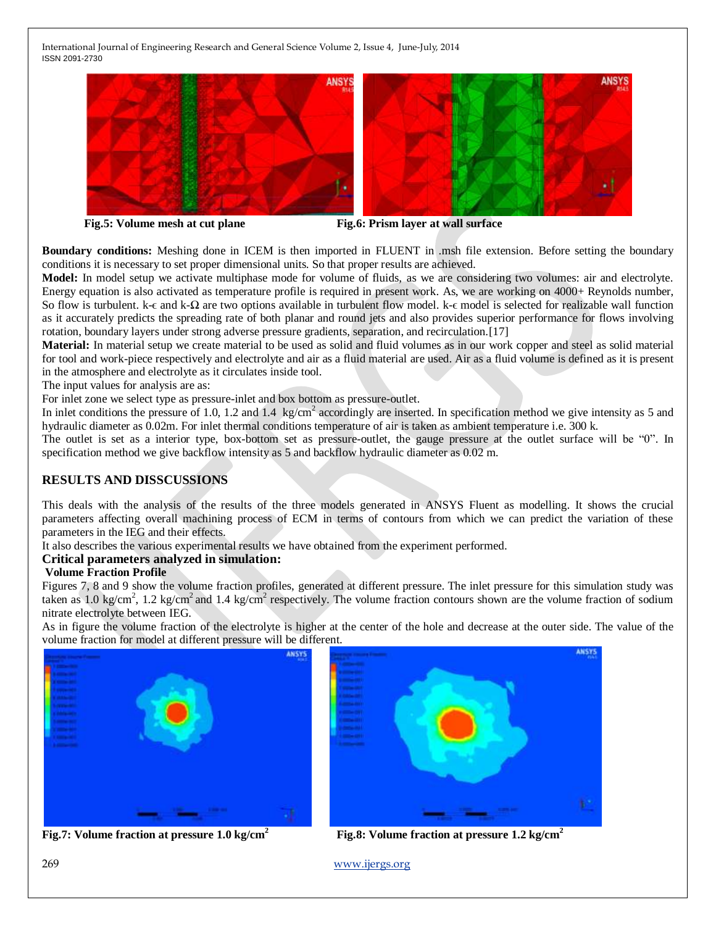

**Fig.5: Volume mesh at cut plane Fig.6: Prism layer at wall surface**

**Boundary conditions:** Meshing done in ICEM is then imported in FLUENT in .msh file extension. Before setting the boundary conditions it is necessary to set proper dimensional units. So that proper results are achieved.

**Model:** In model setup we activate multiphase mode for volume of fluids, as we are considering two volumes: air and electrolyte. Energy equation is also activated as temperature profile is required in present work. As, we are working on 4000+ Reynolds number, So flow is turbulent. k-ε and k-Ω are two options available in turbulent flow model. k-ε model is selected for realizable wall function as it accurately predicts the spreading rate of both planar and round jets and also provides superior performance for flows involving rotation, boundary layers under strong adverse pressure gradients, separation, and recirculation. [17]

**Material:** In material setup we create material to be used as solid and fluid volumes as in our work copper and steel as solid material for tool and work-piece respectively and electrolyte and air as a fluid material are used. Air as a fluid volume is defined as it is present in the atmosphere and electrolyte as it circulates inside tool.

The input values for analysis are as:

For inlet zone we select type as pressure-inlet and box bottom as pressure-outlet.

In inlet conditions the pressure of 1.0, 1.2 and 1.4  $\text{kg/cm}^2$  accordingly are inserted. In specification method we give intensity as 5 and hydraulic diameter as 0.02m. For inlet thermal conditions temperature of air is taken as ambient temperature i.e. 300 k.

The outlet is set as a interior type, box-bottom set as pressure-outlet, the gauge pressure at the outlet surface will be "0". In specification method we give backflow intensity as 5 and backflow hydraulic diameter as 0.02 m.

# **RESULTS AND DISSCUSSIONS**

This deals with the analysis of the results of the three models generated in ANSYS Fluent as modelling. It shows the crucial parameters affecting overall machining process of ECM in terms of contours from which we can predict the variation of these parameters in the IEG and their effects.

It also describes the various experimental results we have obtained from the experiment performed.

#### **Critical parameters analyzed in simulation:**

#### **Volume Fraction Profile**

Figures 7, 8 and 9 show the volume fraction profiles, generated at different pressure. The inlet pressure for this simulation study was taken as 1.0 kg/cm<sup>2</sup>, 1.2 kg/cm<sup>2</sup> and 1.4 kg/cm<sup>2</sup> respectively. The volume fraction contours shown are the volume fraction of sodium nitrate electrolyte between IEG.

As in figure the volume fraction of the electrolyte is higher at the center of the hole and decrease at the outer side. The value of the volume fraction for model at different pressure will be different.





**Fig.7: Volume fraction at pressure 1.0 kg/cm<sup>2</sup> Fig.8: Volume fraction at pressure 1.2 kg/cm<sup>2</sup>**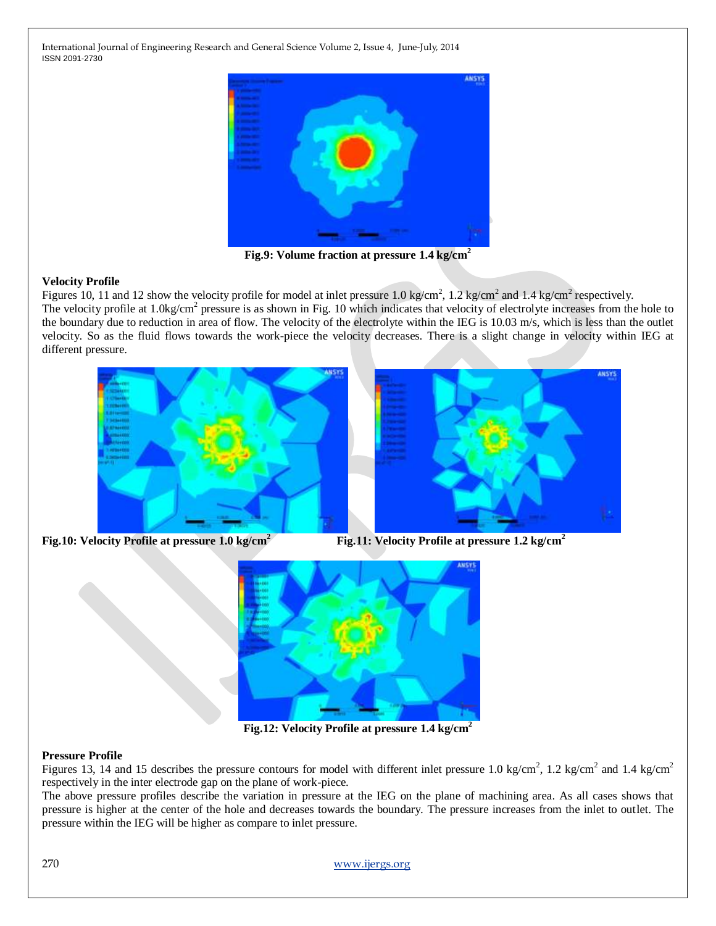

**Fig.9: Volume fraction at pressure 1.4 kg/cm<sup>2</sup>**

#### **Velocity Profile**

Figures 10, 11 and 12 show the velocity profile for model at inlet pressure 1.0 kg/cm<sup>2</sup>, 1.2 kg/cm<sup>2</sup> and 1.4 kg/cm<sup>2</sup> respectively. The velocity profile at 1.0kg/cm<sup>2</sup> pressure is as shown in Fig. 10 which indicates that velocity of electrolyte increases from the hole to the boundary due to reduction in area of flow. The velocity of the electrolyte within the IEG is 10.03 m/s, which is less than the outlet velocity. So as the fluid flows towards the work-piece the velocity decreases. There is a slight change in velocity within IEG at different pressure.



**Fig.10: Velocity Profile at pressure 1.0 kg/cm<sup>2</sup> Fig.11: Velocity Profile at pressure 1.2 kg/cm<sup>2</sup>**



**Fig.12: Velocity Profile at pressure 1.4 kg/cm<sup>2</sup>**

#### **Pressure Profile**

Figures 13, 14 and 15 describes the pressure contours for model with different inlet pressure 1.0 kg/cm<sup>2</sup>, 1.2 kg/cm<sup>2</sup> and 1.4 kg/cm<sup>2</sup> respectively in the inter electrode gap on the plane of work-piece.

The above pressure profiles describe the variation in pressure at the IEG on the plane of machining area. As all cases shows that pressure is higher at the center of the hole and decreases towards the boundary. The pressure increases from the inlet to outlet. The pressure within the IEG will be higher as compare to inlet pressure.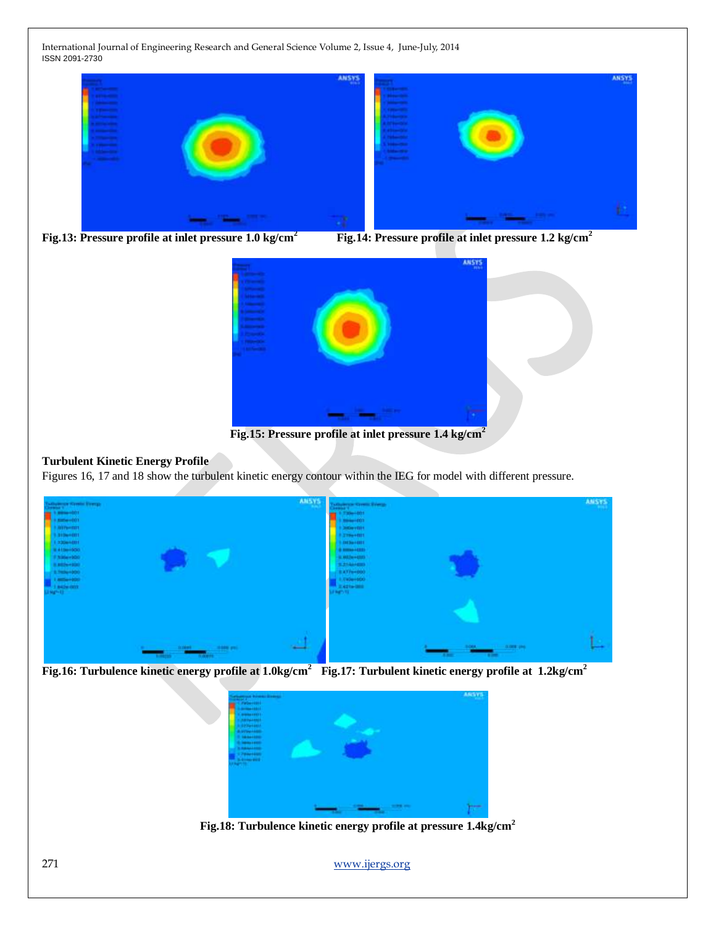





**Fig.15: Pressure profile at inlet pressure 1.4 kg/cm<sup>2</sup>**

# **Turbulent Kinetic Energy Profile**

Figures 16, 17 and 18 show the turbulent kinetic energy contour within the IEG for model with different pressure.



**Fig.16: Turbulence kinetic energy profile at 1.0kg/cm<sup>2</sup>Fig.17: Turbulent kinetic energy profile at 1.2kg/cm<sup>2</sup>**

![](_page_5_Picture_10.jpeg)

**Fig.18: Turbulence kinetic energy profile at pressure 1.4kg/cm<sup>2</sup>**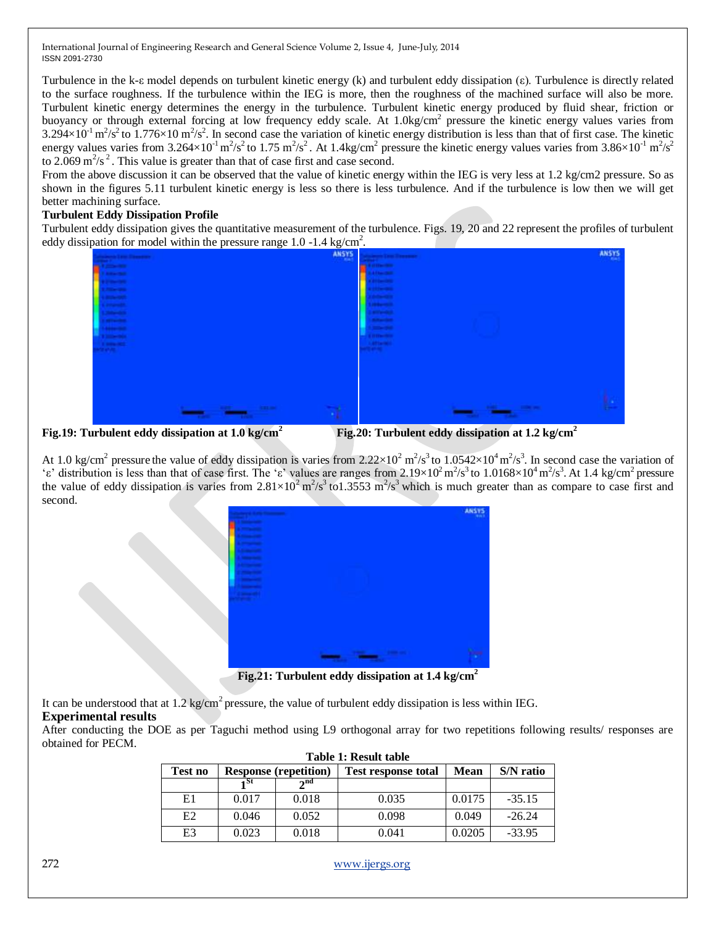Turbulence in the k-ε model depends on turbulent kinetic energy (k) and turbulent eddy dissipation (ε). Turbulence is directly related to the surface roughness. If the turbulence within the IEG is more, then the roughness of the machined surface will also be more. Turbulent kinetic energy determines the energy in the turbulence. Turbulent kinetic energy produced by fluid shear, friction or buoyancy or through external forcing at low frequency eddy scale. At 1.0kg/cm<sup>2</sup> pressure the kinetic energy values varies from  $3.294\times10^{-1}$  m<sup>2</sup>/s<sup>2</sup> to 1.776×10 m<sup>2</sup>/s<sup>2</sup>. In second case the variation of kinetic energy distribution is less than that of first case. The kinetic energy values varies from 3.264×10<sup>-1</sup> m<sup>2</sup>/s<sup>2</sup> to 1.75 m<sup>2</sup>/s<sup>2</sup>. At 1.4kg/cm<sup>2</sup> pressure the kinetic energy values varies from 3.86×10<sup>-1</sup> m<sup>2</sup>/s<sup>2</sup> to 2.069 m<sup>2</sup>/s<sup>2</sup>. This value is greater than that of case first and case second.

From the above discussion it can be observed that the value of kinetic energy within the IEG is very less at 1.2 kg/cm2 pressure. So as shown in the figures 5.11 turbulent kinetic energy is less so there is less turbulence. And if the turbulence is low then we will get better machining surface.

# **Turbulent Eddy Dissipation Profile**

Turbulent eddy dissipation gives the quantitative measurement of the turbulence. Figs. 19, 20 and 22 represent the profiles of turbulent eddy dissipation for model within the pressure range 1.0 -1.4 kg/cm<sup>2</sup>.

![](_page_6_Figure_5.jpeg)

**Fig.19: Turbulent eddy dissipation at 1.0 kg/cm<sup>2</sup> Fig.20: Turbulent eddy dissipation at 1.2 kg/cm<sup>2</sup>**

At 1.0 kg/cm<sup>2</sup> pressure the value of eddy dissipation is varies from 2.22×10<sup>2</sup> m<sup>2</sup>/s<sup>3</sup> to 1.0542×10<sup>4</sup> m<sup>2</sup>/s<sup>3</sup>. In second case the variation of 'ε' distribution is less than that of case first. The 'ε' values are ranges from 2.19×10<sup>2</sup> m<sup>2</sup>/s<sup>3</sup> to 1.0168×10<sup>4</sup> m<sup>2</sup>/s<sup>3</sup>. At 1.4 kg/cm<sup>2</sup> pressure the value of eddy dissipation is varies from  $2.81 \times 10^2$  m<sup>2</sup>/s<sup>3</sup> to1.3553 m<sup>2</sup>/s<sup>3</sup> which is much greater than as compare to case first and second.

![](_page_6_Picture_9.jpeg)

**Fig.21: Turbulent eddy dissipation at 1.4 kg/cm<sup>2</sup>**

It can be understood that at 1.2 kg/cm<sup>2</sup> pressure, the value of turbulent eddy dissipation is less within IEG.

# **Experimental results**

After conducting the DOE as per Taguchi method using L9 orthogonal array for two repetitions following results/ responses are obtained for PECM.

| Table 1: Result table |                              |          |                            |             |           |  |  |
|-----------------------|------------------------------|----------|----------------------------|-------------|-----------|--|--|
| Test no               | <b>Response (repetition)</b> |          | <b>Test response total</b> | <b>Mean</b> | S/N ratio |  |  |
|                       | 4 St                         | $2^{nd}$ |                            |             |           |  |  |
| E1                    | 0.017                        | 0.018    | 0.035                      | 0.0175      | $-35.15$  |  |  |
| E <sub>2</sub>        | 0.046                        | 0.052    | 0.098                      | 0.049       | $-26.24$  |  |  |
| E3                    | 0.023                        | 0.018    | 0.041                      | 0.0205      | $-33.95$  |  |  |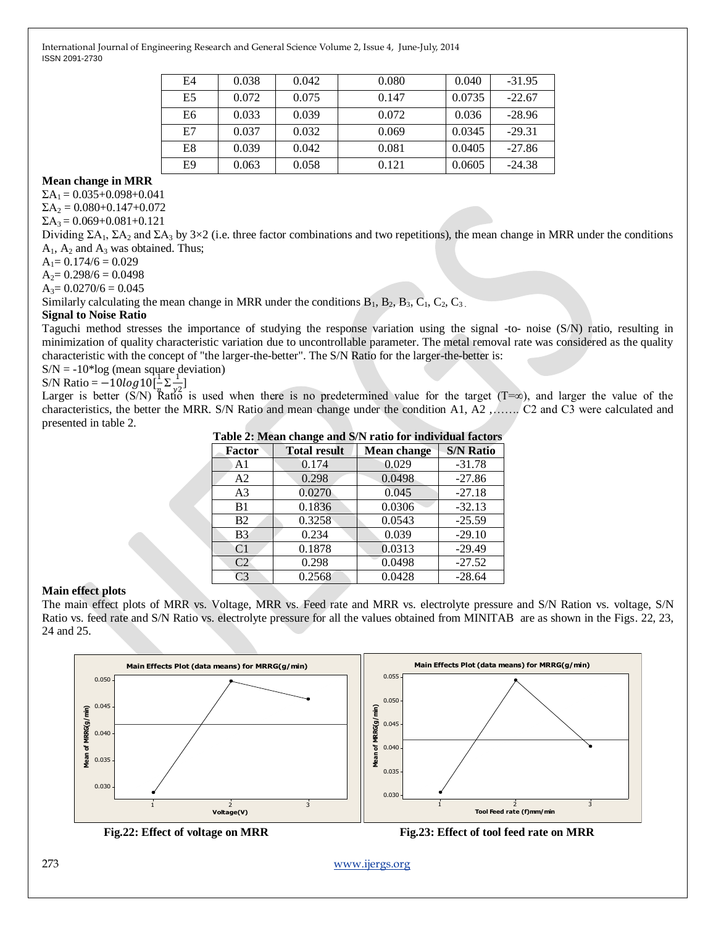| E4             | 0.038 | 0.042 | 0.080 | 0.040  | $-31.95$ |
|----------------|-------|-------|-------|--------|----------|
| E <sub>5</sub> | 0.072 | 0.075 | 0.147 | 0.0735 | $-22.67$ |
| E6             | 0.033 | 0.039 | 0.072 | 0.036  | $-28.96$ |
| E7             | 0.037 | 0.032 | 0.069 | 0.0345 | $-29.31$ |
| E8             | 0.039 | 0.042 | 0.081 | 0.0405 | $-27.86$ |
| E9             | 0.063 | 0.058 | 0.121 | 0.0605 | $-24.38$ |

## **Mean change in MRR**

 $\Sigma A_1 = 0.035 + 0.098 + 0.041$ 

 $\Sigma A_2 = 0.080 + 0.147 + 0.072$ 

 $\Sigma A_3 = 0.069 + 0.081 + 0.121$ 

Dividing  $\Sigma A_1$ ,  $\Sigma A_2$  and  $\Sigma A_3$  by 3×2 (i.e. three factor combinations and two repetitions), the mean change in MRR under the conditions  $A_1$ ,  $A_2$  and  $A_3$  was obtained. Thus;

 $A_1 = 0.174/6 = 0.029$ 

 $A_2 = 0.298/6 = 0.0498$ 

 $A_3 = 0.0270/6 = 0.045$ 

Similarly calculating the mean change in MRR under the conditions  $B_1$ ,  $B_2$ ,  $B_3$ ,  $C_1$ ,  $C_2$ ,  $C_3$ .

#### **Signal to Noise Ratio**

Taguchi method stresses the importance of studying the response variation using the signal -to- noise (S/N) ratio, resulting in minimization of quality characteristic variation due to uncontrollable parameter. The metal removal rate was considered as the quality characteristic with the concept of "the larger-the-better". The S/N Ratio for the larger-the-better is:

 $S/N = -10*log$  (mean square deviation)

S/N Ratio =  $-10log 10^{-1}$  $\frac{1}{n} \sum \frac{1}{y^2}$  $\frac{1}{y^2}]$ 

Larger is better (S/N) Ratio is used when there is no predetermined value for the target (T=∞), and larger the value of the characteristics, the better the MRR. S/N Ratio and mean change under the condition A1, A2 ,……. C2 and C3 were calculated and presented in table 2.

**Table 2: Mean change and S/N ratio for individual factors**

| Factor         | o<br><b>Total result</b> | <b>Mean change</b> | <b>S/N Ratio</b> |
|----------------|--------------------------|--------------------|------------------|
| A <sub>1</sub> | 0.174                    | 0.029              | $-31.78$         |
| A2             | 0.298                    | 0.0498             | $-27.86$         |
| A <sub>3</sub> | 0.0270                   | 0.045              | $-27.18$         |
| B <sub>1</sub> | 0.1836                   | 0.0306             | $-32.13$         |
| B2             | 0.3258                   | 0.0543             | $-25.59$         |
| B <sub>3</sub> | 0.234                    | 0.039              | $-29.10$         |
| C <sub>1</sub> | 0.1878                   | 0.0313             | $-29.49$         |
| C2             | 0.298                    | 0.0498             | $-27.52$         |
| C <sub>3</sub> | 0.2568                   | 0.0428             | $-28.64$         |

#### **Main effect plots**

The main effect plots of MRR vs. Voltage, MRR vs. Feed rate and MRR vs. electrolyte pressure and S/N Ration vs. voltage, S/N Ratio vs. feed rate and S/N Ratio vs. electrolyte pressure for all the values obtained from MINITAB are as shown in the Figs. 22, 23, 24 and 25.

![](_page_7_Figure_20.jpeg)

![](_page_7_Figure_21.jpeg)

 **Fig.22: Effect of voltage on MRR Fig.23: Effect of tool feed rate on MRR**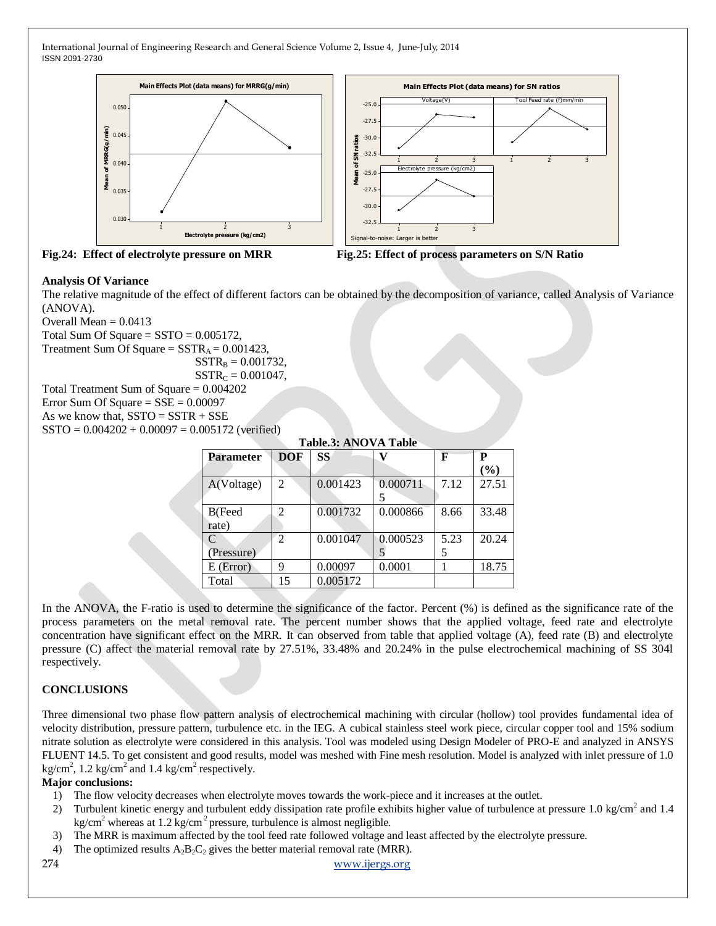![](_page_8_Figure_1.jpeg)

![](_page_8_Figure_2.jpeg)

![](_page_8_Figure_3.jpeg)

### **Analysis Of Variance**

The relative magnitude of the effect of different factors can be obtained by the decomposition of variance, called Analysis of Variance (ANOVA).

Overall Mean  $= 0.0413$ Total Sum Of Square =  $SSTO = 0.005172$ , Treatment Sum Of Square =  $SSTR_A = 0.001423$ ,  $SSTR_B = 0.001732$ ,  $SSTR_C = 0.001047$ , Total Treatment Sum of Square = 0.004202

Error Sum Of Square  $=$  SSE  $=$  0.00097

As we know that,  $SSTO = SSTR + SSE$  $SSTO = 0.004202 + 0.00097 = 0.005172$  (verified)

| <b>Table.3: ANOVA Table</b> |                             |           |          |      |        |  |
|-----------------------------|-----------------------------|-----------|----------|------|--------|--|
| <b>Parameter</b>            | <b>DOF</b>                  | <b>SS</b> |          | F    | P      |  |
|                             |                             |           |          |      | $(\%)$ |  |
| A(Voltage)                  | 2                           | 0.001423  | 0.000711 | 7.12 | 27.51  |  |
|                             |                             |           |          |      |        |  |
| B(Feed                      | 2                           | 0.001732  | 0.000866 | 8.66 | 33.48  |  |
| rate)                       |                             |           |          |      |        |  |
| $\mathcal{C}$               | $\mathcal{D}_{\mathcal{L}}$ | 0.001047  | 0.000523 | 5.23 | 20.24  |  |
| (Pressure)                  |                             |           |          | 5    |        |  |
| $E$ (Error)                 | 9                           | 0.00097   | 0.0001   |      | 18.75  |  |
| Total                       | 15                          | 0.005172  |          |      |        |  |

In the ANOVA, the F-ratio is used to determine the significance of the factor. Percent (%) is defined as the significance rate of the process parameters on the metal removal rate. The percent number shows that the applied voltage, feed rate and electrolyte concentration have significant effect on the MRR. It can observed from table that applied voltage (A), feed rate (B) and electrolyte pressure (C) affect the material removal rate by 27.51%, 33.48% and 20.24% in the pulse electrochemical machining of SS 304l respectively.

# **CONCLUSIONS**

Three dimensional two phase flow pattern analysis of electrochemical machining with circular (hollow) tool provides fundamental idea of velocity distribution, pressure pattern, turbulence etc. in the IEG. A cubical stainless steel work piece, circular copper tool and 15% sodium nitrate solution as electrolyte were considered in this analysis. Tool was modeled using Design Modeler of PRO-E and analyzed in ANSYS FLUENT 14.5. To get consistent and good results, model was meshed with Fine mesh resolution. Model is analyzed with inlet pressure of 1.0 kg/cm<sup>2</sup>, 1.2 kg/cm<sup>2</sup> and 1.4 kg/cm<sup>2</sup> respectively.

#### **Major conclusions:**

- 1) The flow velocity decreases when electrolyte moves towards the work-piece and it increases at the outlet.
- 2) Turbulent kinetic energy and turbulent eddy dissipation rate profile exhibits higher value of turbulence at pressure 1.0 kg/cm<sup>2</sup> and 1.4 kg/cm<sup>2</sup> whereas at 1.2 kg/cm<sup>2</sup> pressure, turbulence is almost negligible.
- 3) The MRR is maximum affected by the tool feed rate followed voltage and least affected by the electrolyte pressure.
- 4) The optimized results  $A_2B_2C_2$  gives the better material removal rate (MRR).